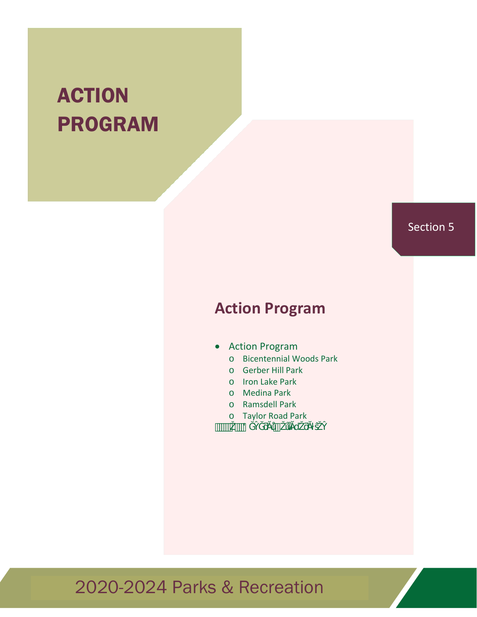# **ACTION** PROGRAM

### Section 5

## **Action Program**

#### Action Program

- o Bicentennial Woods Park
- o Gerber Hill Park
- o Iron Lake Park
- o Medina Park
- o Ramsdell Park
- o Taylor Road Park

 $\overline{\mathcal{C}}$   $\overline{\mathcal{C}}$   $\overline{\mathcal{C}}$   $\overline{\mathcal{C}}$   $\overline{\mathcal{C}}$   $\overline{\mathcal{C}}$   $\overline{\mathcal{C}}$   $\overline{\mathcal{C}}$   $\overline{\mathcal{C}}$   $\overline{\mathcal{C}}$   $\overline{\mathcal{C}}$   $\overline{\mathcal{C}}$   $\overline{\mathcal{C}}$   $\overline{\mathcal{C}}$   $\overline{\mathcal{C}}$   $\overline{\mathcal{C}}$   $\overline{\mathcal{C}}$   $\overline{\mathcal{C}}$   $\overline{\math$ 

## 2020-2024 Parks & Recreation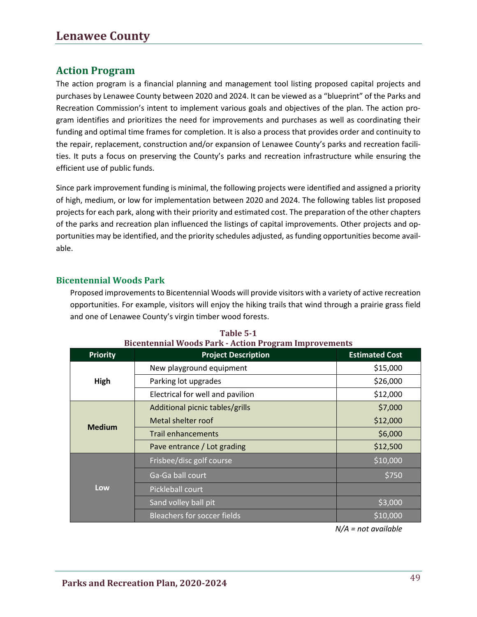### **Action Program**

The action program is a financial planning and management tool listing proposed capital projects and purchases by Lenawee County between 2020 and 2024. It can be viewed as a "blueprint" of the Parks and Recreation Commission's intent to implement various goals and objectives of the plan. The action program identifies and prioritizes the need for improvements and purchases as well as coordinating their funding and optimal time frames for completion. It is also a process that provides order and continuity to the repair, replacement, construction and/or expansion of Lenawee County's parks and recreation facilities. It puts a focus on preserving the County's parks and recreation infrastructure while ensuring the efficient use of public funds.

Since park improvement funding is minimal, the following projects were identified and assigned a priority of high, medium, or low for implementation between 2020 and 2024. The following tables list proposed projects for each park, along with their priority and estimated cost. The preparation of the other chapters of the parks and recreation plan influenced the listings of capital improvements. Other projects and opportunities may be identified, and the priority schedules adjusted, as funding opportunities become available.

#### **Bicentennial Woods Park**

Proposed improvements to Bicentennial Woods will provide visitors with a variety of active recreation opportunities. For example, visitors will enjoy the hiking trails that wind through a prairie grass field and one of Lenawee County's virgin timber wood forests.

| <b>Priority</b> | <b>Project Description</b>         | <b>Estimated Cost</b> |
|-----------------|------------------------------------|-----------------------|
| High            | New playground equipment           | \$15,000              |
|                 | Parking lot upgrades               | \$26,000              |
|                 | Electrical for well and pavilion   | \$12,000              |
| <b>Medium</b>   | Additional picnic tables/grills    | \$7,000               |
|                 | Metal shelter roof                 | \$12,000              |
|                 | <b>Trail enhancements</b>          | \$6,000               |
|                 | Pave entrance / Lot grading        | \$12,500              |
| Low             | Frisbee/disc golf course           | \$10,000              |
|                 | Ga-Ga ball court                   | \$750                 |
|                 | Pickleball court                   |                       |
|                 | Sand volley ball pit               | \$3,000               |
|                 | <b>Bleachers for soccer fields</b> | \$10,000              |

#### **Table 5-1 Bicentennial Woods Park - Action Program Improvements**

*N/A = not available*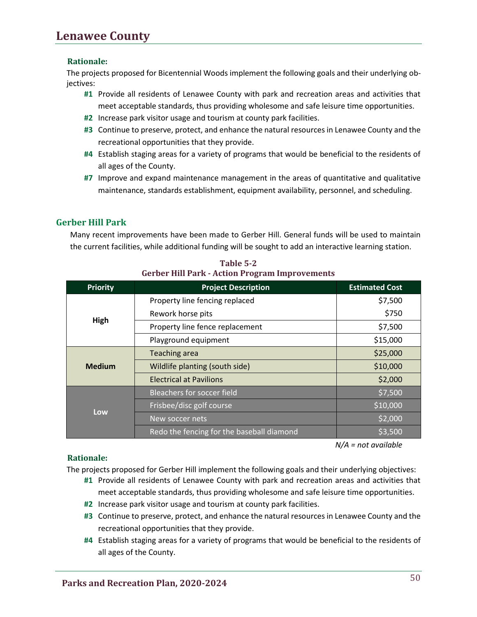## **Lenawee County**

#### **Rationale:**

The projects proposed for Bicentennial Woods implement the following goals and their underlying objectives:

- **#1** Provide all residents of Lenawee County with park and recreation areas and activities that meet acceptable standards, thus providing wholesome and safe leisure time opportunities.
- **#2** Increase park visitor usage and tourism at county park facilities.
- **#3** Continue to preserve, protect, and enhance the natural resources in Lenawee County and the recreational opportunities that they provide.
- **#4** Establish staging areas for a variety of programs that would be beneficial to the residents of all ages of the County.
- **#7** Improve and expand maintenance management in the areas of quantitative and qualitative maintenance, standards establishment, equipment availability, personnel, and scheduling.

#### **Gerber Hill Park**

Many recent improvements have been made to Gerber Hill. General funds will be used to maintain the current facilities, while additional funding will be sought to add an interactive learning station.

| <b>Priority</b> | <b>Project Description</b>                | <b>Estimated Cost</b> |
|-----------------|-------------------------------------------|-----------------------|
| High            | Property line fencing replaced            | \$7,500               |
|                 | Rework horse pits                         | \$750                 |
|                 | Property line fence replacement           | \$7,500               |
|                 | Playground equipment                      | \$15,000              |
| <b>Medium</b>   | <b>Teaching area</b>                      | \$25,000              |
|                 | Wildlife planting (south side)            | \$10,000              |
|                 | <b>Electrical at Pavilions</b>            | \$2,000               |
| Low             | <b>Bleachers for soccer field</b>         | \$7,500               |
|                 | Frisbee/disc golf course                  | \$10,000              |
|                 | New soccer nets                           | \$2,000               |
|                 | Redo the fencing for the baseball diamond | \$3,500               |

**Table 5-2 Gerber Hill Park - Action Program Improvements**

*N/A = not available*

#### **Rationale:**

The projects proposed for Gerber Hill implement the following goals and their underlying objectives:

- **#1** Provide all residents of Lenawee County with park and recreation areas and activities that meet acceptable standards, thus providing wholesome and safe leisure time opportunities.
- **#2** Increase park visitor usage and tourism at county park facilities.
- **#3** Continue to preserve, protect, and enhance the natural resources in Lenawee County and the recreational opportunities that they provide.
- **#4** Establish staging areas for a variety of programs that would be beneficial to the residents of all ages of the County.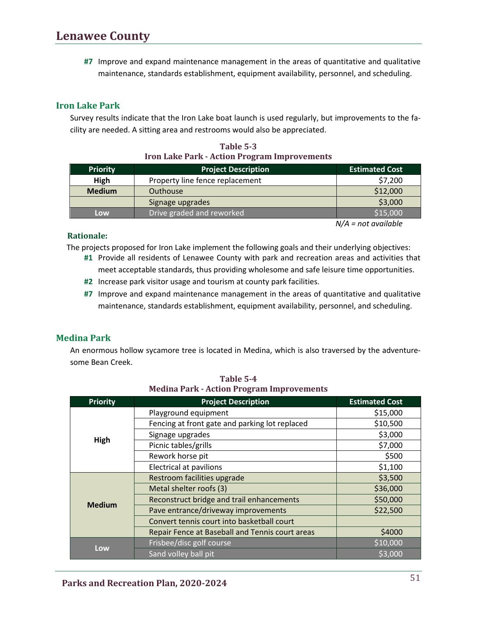**#7** Improve and expand maintenance management in the areas of quantitative and qualitative maintenance, standards establishment, equipment availability, personnel, and scheduling.

#### **Iron Lake Park**

Survey results indicate that the Iron Lake boat launch is used regularly, but improvements to the facility are needed. A sitting area and restrooms would also be appreciated.

| <u>HVII BAKC I AHVA TICHUILI FUGLAIN HIIPFOVCHICHUS</u> |                                 |                       |
|---------------------------------------------------------|---------------------------------|-----------------------|
| <b>Priority</b>                                         | <b>Project Description</b>      | <b>Estimated Cost</b> |
| High                                                    | Property line fence replacement | \$7,200               |
| <b>Medium</b>                                           | Outhouse                        | \$12,000              |
|                                                         | Signage upgrades                | \$3,000               |
| Low                                                     | Drive graded and reworked       | \$15,000              |

**Table 5-3 Iron Lake Park - Action Program Improvements** 

*N/A = not available*

#### **Rationale:**

The projects proposed for Iron Lake implement the following goals and their underlying objectives:

- **#1** Provide all residents of Lenawee County with park and recreation areas and activities that meet acceptable standards, thus providing wholesome and safe leisure time opportunities.
- **#2** Increase park visitor usage and tourism at county park facilities.
- **#7** Improve and expand maintenance management in the areas of quantitative and qualitative maintenance, standards establishment, equipment availability, personnel, and scheduling.

#### **Medina Park**

An enormous hollow sycamore tree is located in Medina, which is also traversed by the adventuresome Bean Creek.

| <b>Priority</b> | <b>Project Description</b>                      | <b>Estimated Cost</b> |
|-----------------|-------------------------------------------------|-----------------------|
| High            | Playground equipment                            | \$15,000              |
|                 | Fencing at front gate and parking lot replaced  | \$10,500              |
|                 | Signage upgrades                                | \$3,000               |
|                 | Picnic tables/grills                            | \$7,000               |
|                 | Rework horse pit                                | \$500                 |
|                 | <b>Electrical at pavilions</b>                  | \$1,100               |
|                 | Restroom facilities upgrade                     | \$3,500               |
|                 | Metal shelter roofs (3)                         | \$36,000              |
| <b>Medium</b>   | Reconstruct bridge and trail enhancements       | \$50,000              |
|                 | Pave entrance/driveway improvements             | \$22,500              |
|                 | Convert tennis court into basketball court      |                       |
|                 | Repair Fence at Baseball and Tennis court areas | \$4000                |
| Low             | Frisbee/disc golf course                        | \$10,000              |
|                 | Sand volley ball pit                            | \$3,000               |

**Table 5-4 Medina Park - Action Program Improvements**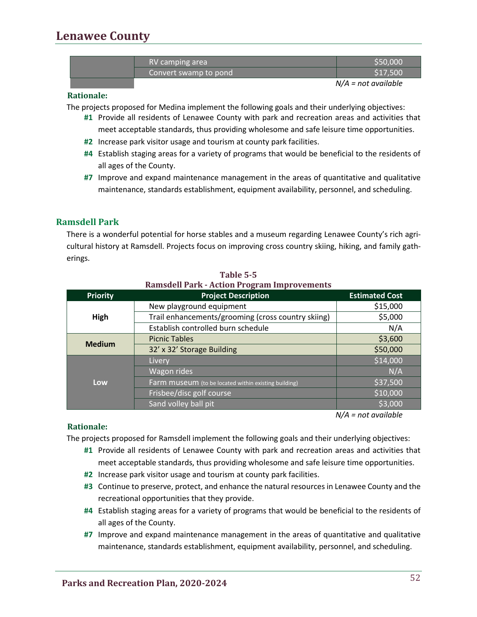## **Lenawee County**

| RV camping area       | \$50,000 |
|-----------------------|----------|
| Convert swamp to pond | \$17,500 |
|                       | <br>.    |

*N/A = not available*

#### **Rationale:**

The projects proposed for Medina implement the following goals and their underlying objectives:

- **#1** Provide all residents of Lenawee County with park and recreation areas and activities that meet acceptable standards, thus providing wholesome and safe leisure time opportunities.
- **#2** Increase park visitor usage and tourism at county park facilities.
- **#4** Establish staging areas for a variety of programs that would be beneficial to the residents of all ages of the County.
- **#7** Improve and expand maintenance management in the areas of quantitative and qualitative maintenance, standards establishment, equipment availability, personnel, and scheduling.

#### **Ramsdell Park**

There is a wonderful potential for horse stables and a museum regarding Lenawee County's rich agricultural history at Ramsdell. Projects focus on improving cross country skiing, hiking, and family gatherings.

| <b>Priority</b> | <b>Project Description</b>                           | <b>Estimated Cost</b> |
|-----------------|------------------------------------------------------|-----------------------|
|                 | New playground equipment                             | \$15,000              |
| High            | Trail enhancements/grooming (cross country skiing)   | \$5,000               |
|                 | Establish controlled burn schedule                   | N/A                   |
|                 | <b>Picnic Tables</b>                                 | \$3,600               |
| <b>Medium</b>   | 32' x 32' Storage Building                           | \$50,000              |
|                 | <b>Livery</b>                                        | \$14,000              |
| Low             | Wagon rides                                          | N/A                   |
|                 | Farm museum (to be located within existing building) | \$37,500              |
|                 | Frisbee/disc golf course                             | \$10,000              |
|                 | Sand volley ball pit                                 | \$3,000               |

#### **Table 5-5 Ramsdell Park - Action Program Improvements**

*N/A = not available*

#### **Rationale:**

The projects proposed for Ramsdell implement the following goals and their underlying objectives:

- **#1** Provide all residents of Lenawee County with park and recreation areas and activities that meet acceptable standards, thus providing wholesome and safe leisure time opportunities.
- **#2** Increase park visitor usage and tourism at county park facilities.
- **#3** Continue to preserve, protect, and enhance the natural resources in Lenawee County and the recreational opportunities that they provide.
- **#4** Establish staging areas for a variety of programs that would be beneficial to the residents of all ages of the County.
- **#7** Improve and expand maintenance management in the areas of quantitative and qualitative maintenance, standards establishment, equipment availability, personnel, and scheduling.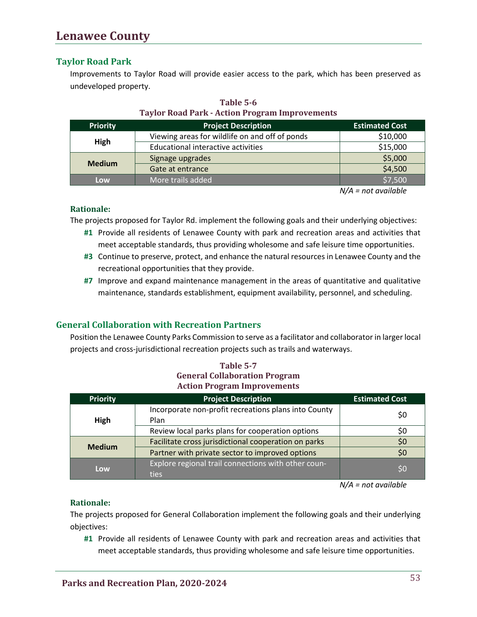#### **Taylor Road Park**

Improvements to Taylor Road will provide easier access to the park, which has been preserved as undeveloped property.

| <b>Priority</b> | <b>Project Description</b>                     | <b>Estimated Cost</b> |
|-----------------|------------------------------------------------|-----------------------|
| High            | Viewing areas for wildlife on and off of ponds | \$10,000              |
|                 | Educational interactive activities             | \$15,000              |
| <b>Medium</b>   | Signage upgrades                               | \$5,000               |
|                 | Gate at entrance                               | \$4,500               |
| Low             | More trails added                              | \$7,500               |

**Table 5-6 Taylor Road Park - Action Program Improvements**

*N/A = not available*

#### **Rationale:**

The projects proposed for Taylor Rd. implement the following goals and their underlying objectives:

- **#1** Provide all residents of Lenawee County with park and recreation areas and activities that meet acceptable standards, thus providing wholesome and safe leisure time opportunities.
- **#3** Continue to preserve, protect, and enhance the natural resources in Lenawee County and the recreational opportunities that they provide.
- **#7** Improve and expand maintenance management in the areas of quantitative and qualitative maintenance, standards establishment, equipment availability, personnel, and scheduling.

#### **General Collaboration with Recreation Partners**

Position the Lenawee County Parks Commission to serve as a facilitator and collaborator in larger local projects and cross-jurisdictional recreation projects such as trails and waterways.

| Table 5-7                            |
|--------------------------------------|
| <b>General Collaboration Program</b> |
| <b>Action Program Improvements</b>   |

| <b>Priority</b> | <b>Project Description</b>                                   | <b>Estimated Cost</b> |
|-----------------|--------------------------------------------------------------|-----------------------|
| High            | Incorporate non-profit recreations plans into County<br>Plan | \$0                   |
|                 | Review local parks plans for cooperation options             | S0                    |
| <b>Medium</b>   | Facilitate cross jurisdictional cooperation on parks         | \$0                   |
|                 | Partner with private sector to improved options              | \$0                   |
| Low             | Explore regional trail connections with other coun-<br>ties  | \$0                   |

*N/A = not available*

#### **Rationale:**

The projects proposed for General Collaboration implement the following goals and their underlying objectives:

**#1** Provide all residents of Lenawee County with park and recreation areas and activities that meet acceptable standards, thus providing wholesome and safe leisure time opportunities.